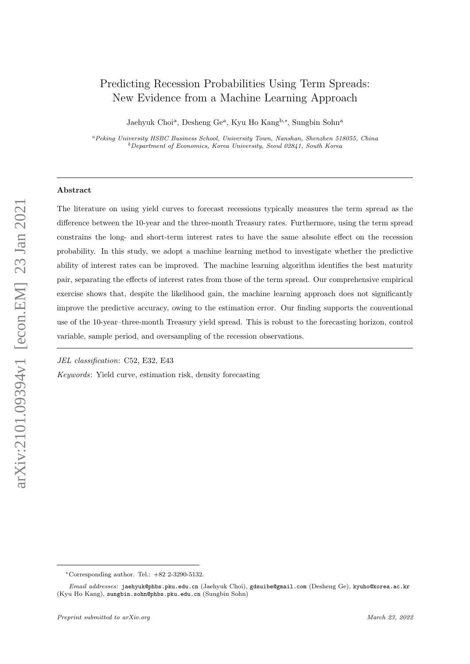# <span id="page-0-0"></span>Predicting Recession Probabilities Using Term Spreads: New Evidence from a Machine Learning Approach

Jaehyuk Choi<sup>a</sup>, Desheng Ge<sup>a</sup>, Kyu Ho Kang<sup>b,\*</sup>, Sungbin Sohn<sup>a</sup>

<sup>a</sup>Peking University HSBC Business School, University Town, Nanshan, Shenzhen 518055, China  $b$ Department of Economics, Korea University, Seoul 02841, South Korea

# Abstract

The literature on using yield curves to forecast recessions typically measures the term spread as the difference between the 10-year and the three-month Treasury rates. Furthermore, using the term spread constrains the long- and short-term interest rates to have the same absolute effect on the recession probability. In this study, we adopt a machine learning method to investigate whether the predictive ability of interest rates can be improved. The machine learning algorithm identifies the best maturity pair, separating the effects of interest rates from those of the term spread. Our comprehensive empirical exercise shows that, despite the likelihood gain, the machine learning approach does not significantly improve the predictive accuracy, owing to the estimation error. Our finding supports the conventional use of the 10-year–three-month Treasury yield spread. This is robust to the forecasting horizon, control variable, sample period, and oversampling of the recession observations.

JEL classification: C52, E32, E43

Keywords: Yield curve, estimation risk, density forecasting

<sup>∗</sup>Corresponding author. Tel.: +82 2-3290-5132.

Email addresses: jaehyuk@phbs.pku.edu.cn (Jaehyuk Choi), gdsuibe@gmail.com (Desheng Ge), kyuho@korea.ac.kr (Kyu Ho Kang), sungbin.sohn@phbs.pku.edu.cn (Sungbin Sohn)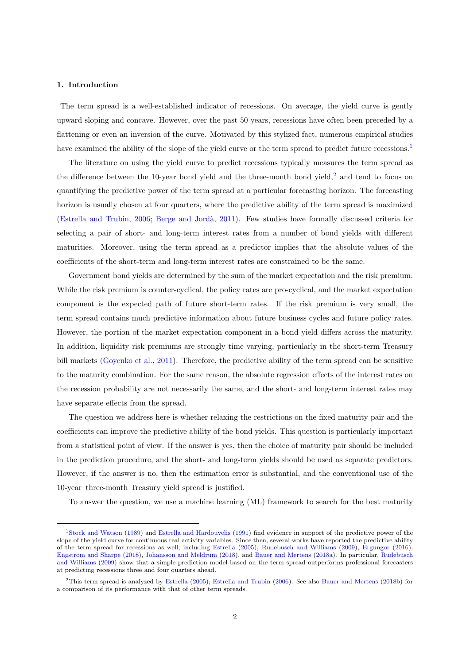## 1. Introduction

The term spread is a well-established indicator of recessions. On average, the yield curve is gently upward sloping and concave. However, over the past 50 years, recessions have often been preceded by a flattening or even an inversion of the curve. Motivated by this stylized fact, numerous empirical studies have examined the ability of the slope of the yield curve or the term spread to predict future recessions.<sup>[1](#page-0-0)</sup>

The literature on using the yield curve to predict recessions typically measures the term spread as the difference between the 10-year bond yield and the three-month bond yield, $2$  and tend to focus on quantifying the predictive power of the term spread at a particular forecasting horizon. The forecasting horizon is usually chosen at four quarters, where the predictive ability of the term spread is maximized [\(Estrella and Trubin,](#page-17-0) [2006;](#page-17-0) [Berge and Jord`a,](#page-17-1) [2011\)](#page-17-1). Few studies have formally discussed criteria for selecting a pair of short- and long-term interest rates from a number of bond yields with different maturities. Moreover, using the term spread as a predictor implies that the absolute values of the coefficients of the short-term and long-term interest rates are constrained to be the same.

Government bond yields are determined by the sum of the market expectation and the risk premium. While the risk premium is counter-cyclical, the policy rates are pro-cyclical, and the market expectation component is the expected path of future short-term rates. If the risk premium is very small, the term spread contains much predictive information about future business cycles and future policy rates. However, the portion of the market expectation component in a bond yield differs across the maturity. In addition, liquidity risk premiums are strongly time varying, particularly in the short-term Treasury bill markets [\(Goyenko et al.,](#page-17-2) [2011\)](#page-17-2). Therefore, the predictive ability of the term spread can be sensitive to the maturity combination. For the same reason, the absolute regression effects of the interest rates on the recession probability are not necessarily the same, and the short- and long-term interest rates may have separate effects from the spread.

The question we address here is whether relaxing the restrictions on the fixed maturity pair and the coefficients can improve the predictive ability of the bond yields. This question is particularly important from a statistical point of view. If the answer is yes, then the choice of maturity pair should be included in the prediction procedure, and the short- and long-term yields should be used as separate predictors. However, if the answer is no, then the estimation error is substantial, and the conventional use of the 10-year–three-month Treasury yield spread is justified.

To answer the question, we use a machine learning (ML) framework to search for the best maturity

<sup>1</sup>[Stock and Watson](#page-18-0) [\(1989\)](#page-18-0) and [Estrella and Hardouvelis](#page-17-3) [\(1991\)](#page-17-3) find evidence in support of the predictive power of the slope of the yield curve for continuous real activity variables. Since then, several works have reported the predictive ability of the term spread for recessions as well, including [Estrella](#page-17-4) [\(2005\)](#page-17-4), [Rudebusch and Williams](#page-18-1) [\(2009\)](#page-18-1), [Ergungor](#page-17-5) [\(2016\)](#page-17-5), [Engstrom and Sharpe](#page-17-6) [\(2018\)](#page-17-6), [Johansson and Meldrum](#page-18-2) [\(2018\)](#page-18-2), and [Bauer and Mertens](#page-17-7) [\(2018a\)](#page-17-7). In particular, [Rudebusch](#page-18-1) [and Williams](#page-18-1) [\(2009\)](#page-18-1) show that a simple prediction model based on the term spread outperforms professional forecasters at predicting recessions three and four quarters ahead.

<sup>2</sup>This term spread is analyzed by [Estrella](#page-17-4) [\(2005\)](#page-17-4); [Estrella and Trubin](#page-17-0) [\(2006\)](#page-17-0). See also [Bauer and Mertens](#page-17-8) [\(2018b\)](#page-17-8) for a comparison of its performance with that of other term spreads.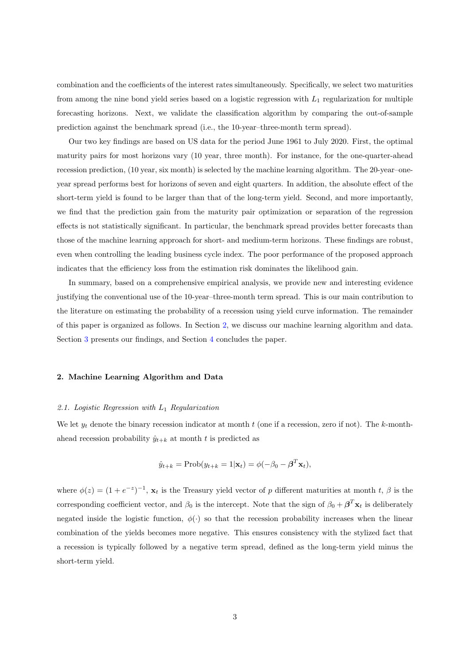combination and the coefficients of the interest rates simultaneously. Specifically, we select two maturities from among the nine bond yield series based on a logistic regression with  $L_1$  regularization for multiple forecasting horizons. Next, we validate the classification algorithm by comparing the out-of-sample prediction against the benchmark spread (i.e., the 10-year–three-month term spread).

Our two key findings are based on US data for the period June 1961 to July 2020. First, the optimal maturity pairs for most horizons vary (10 year, three month). For instance, for the one-quarter-ahead recession prediction, (10 year, six month) is selected by the machine learning algorithm. The 20-year–oneyear spread performs best for horizons of seven and eight quarters. In addition, the absolute effect of the short-term yield is found to be larger than that of the long-term yield. Second, and more importantly, we find that the prediction gain from the maturity pair optimization or separation of the regression effects is not statistically significant. In particular, the benchmark spread provides better forecasts than those of the machine learning approach for short- and medium-term horizons. These findings are robust, even when controlling the leading business cycle index. The poor performance of the proposed approach indicates that the efficiency loss from the estimation risk dominates the likelihood gain.

In summary, based on a comprehensive empirical analysis, we provide new and interesting evidence justifying the conventional use of the 10-year–three-month term spread. This is our main contribution to the literature on estimating the probability of a recession using yield curve information. The remainder of this paper is organized as follows. In Section [2,](#page-2-0) we discuss our machine learning algorithm and data. Section [3](#page-5-0) presents our findings, and Section [4](#page-14-0) concludes the paper.

## <span id="page-2-0"></span>2. Machine Learning Algorithm and Data

# <span id="page-2-1"></span>2.1. Logistic Regression with  $L_1$  Regularization

We let  $y_t$  denote the binary recession indicator at month t (one if a recession, zero if not). The k-monthahead recession probability  $\hat{y}_{t+k}$  at month t is predicted as

$$
\hat{y}_{t+k} = \text{Prob}(y_{t+k} = 1|\mathbf{x}_t) = \phi(-\beta_0 - \boldsymbol{\beta}^T \mathbf{x}_t),
$$

where  $\phi(z) = (1 + e^{-z})^{-1}$ ,  $\mathbf{x}_t$  is the Treasury yield vector of p different maturities at month t,  $\beta$  is the corresponding coefficient vector, and  $\beta_0$  is the intercept. Note that the sign of  $\beta_0 + \beta^T \mathbf{x}_t$  is deliberately negated inside the logistic function,  $\phi(\cdot)$  so that the recession probability increases when the linear combination of the yields becomes more negative. This ensures consistency with the stylized fact that a recession is typically followed by a negative term spread, defined as the long-term yield minus the short-term yield.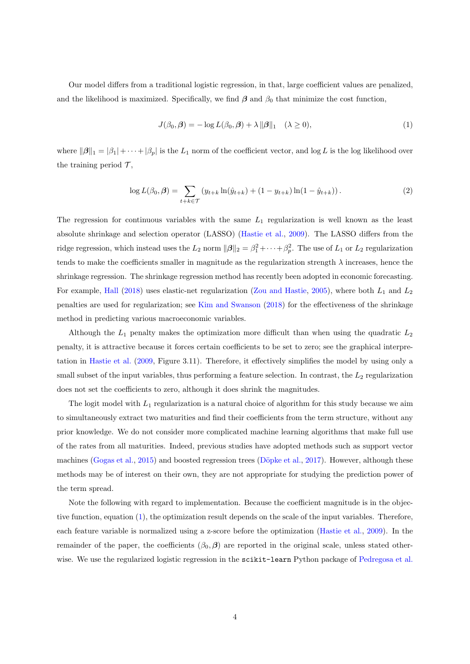Our model differs from a traditional logistic regression, in that, large coefficient values are penalized, and the likelihood is maximized. Specifically, we find  $\beta$  and  $\beta_0$  that minimize the cost function,

<span id="page-3-0"></span>
$$
J(\beta_0, \beta) = -\log L(\beta_0, \beta) + \lambda ||\beta||_1 \quad (\lambda \ge 0),
$$
\n(1)

where  $\|\beta\|_1 = |\beta_1| + \cdots + |\beta_p|$  is the  $L_1$  norm of the coefficient vector, and log L is the log likelihood over the training period  $\mathcal{T}$ ,

<span id="page-3-1"></span>
$$
\log L(\beta_0, \beta) = \sum_{t+k \in \mathcal{T}} \left( y_{t+k} \ln(\hat{y}_{t+k}) + (1 - y_{t+k}) \ln(1 - \hat{y}_{t+k}) \right). \tag{2}
$$

The regression for continuous variables with the same  $L_1$  regularization is well known as the least absolute shrinkage and selection operator (LASSO) [\(Hastie et al.,](#page-18-3) [2009\)](#page-18-3). The LASSO differs from the ridge regression, which instead uses the  $L_2$  norm  $\|\boldsymbol{\beta}\|_2 = \beta_1^2 + \cdots + \beta_p^2$ . The use of  $L_1$  or  $L_2$  regularization tends to make the coefficients smaller in magnitude as the regularization strength  $\lambda$  increases, hence the shrinkage regression. The shrinkage regression method has recently been adopted in economic forecasting. For example, [Hall](#page-18-4) [\(2018\)](#page-18-4) uses elastic-net regularization [\(Zou and Hastie,](#page-18-5) [2005\)](#page-18-5), where both  $L_1$  and  $L_2$ penalties are used for regularization; see [Kim and Swanson](#page-18-6) [\(2018\)](#page-18-6) for the effectiveness of the shrinkage method in predicting various macroeconomic variables.

Although the  $L_1$  penalty makes the optimization more difficult than when using the quadratic  $L_2$ penalty, it is attractive because it forces certain coefficients to be set to zero; see the graphical interpretation in [Hastie et al.](#page-18-3) [\(2009,](#page-18-3) Figure 3.11). Therefore, it effectively simplifies the model by using only a small subset of the input variables, thus performing a feature selection. In contrast, the  $L_2$  regularization does not set the coefficients to zero, although it does shrink the magnitudes.

The logit model with  $L_1$  regularization is a natural choice of algorithm for this study because we aim to simultaneously extract two maturities and find their coefficients from the term structure, without any prior knowledge. We do not consider more complicated machine learning algorithms that make full use of the rates from all maturities. Indeed, previous studies have adopted methods such as support vector machines [\(Gogas et al.,](#page-17-9) [2015\)](#page-17-9) and boosted regression trees (Döpke et al., [2017\)](#page-17-10). However, although these methods may be of interest on their own, they are not appropriate for studying the prediction power of the term spread.

Note the following with regard to implementation. Because the coefficient magnitude is in the objective function, equation [\(1\)](#page-3-0), the optimization result depends on the scale of the input variables. Therefore, each feature variable is normalized using a z-score before the optimization [\(Hastie et al.,](#page-18-3) [2009\)](#page-18-3). In the remainder of the paper, the coefficients  $(\beta_0, \beta)$  are reported in the original scale, unless stated other-wise. We use the regularized logistic regression in the scikit-learn Python package of [Pedregosa et al.](#page-18-7)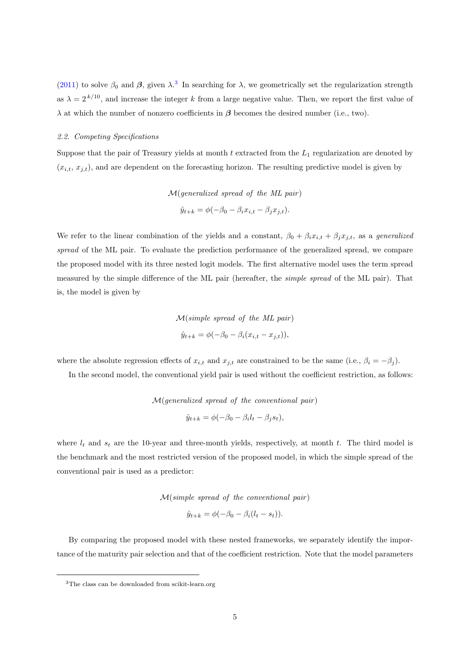[\(2011\)](#page-18-7) to solve  $\beta_0$  and  $\beta$ , given  $\lambda$ <sup>[3](#page-0-0)</sup>. In searching for  $\lambda$ , we geometrically set the regularization strength as  $\lambda = 2^{k/10}$ , and increase the integer k from a large negative value. Then, we report the first value of  $\lambda$  at which the number of nonzero coefficients in  $\beta$  becomes the desired number (i.e., two).

### 2.2. Competing Specifications

Suppose that the pair of Treasury yields at month  $t$  extracted from the  $L_1$  regularization are denoted by  $(x_{i,t}, x_{j,t})$ , and are dependent on the forecasting horizon. The resulting predictive model is given by

$$
\mathcal{M}(generalized\ spread\ of\ the\ ML\ pair)
$$
  

$$
\hat{y}_{t+k} = \phi(-\beta_0 - \beta_i x_{i,t} - \beta_j x_{j,t}).
$$

We refer to the linear combination of the yields and a constant,  $\beta_0 + \beta_i x_{i,t} + \beta_j x_{j,t}$ , as a generalized spread of the ML pair. To evaluate the prediction performance of the generalized spread, we compare the proposed model with its three nested logit models. The first alternative model uses the term spread measured by the simple difference of the ML pair (hereafter, the simple spread of the ML pair). That is, the model is given by

$$
\mathcal{M}(simple\ spread\ of\ the\ ML\ pair)
$$
  

$$
\hat{y}_{t+k} = \phi(-\beta_0 - \beta_i(x_{i,t} - x_{j,t})),
$$

where the absolute regression effects of  $x_{i,t}$  and  $x_{j,t}$  are constrained to be the same (i.e.,  $\beta_i = -\beta_j$ ).

In the second model, the conventional yield pair is used without the coefficient restriction, as follows:

 $M(\text{generalized spread of the conventional pair})$  $\hat{y}_{t+k} = \phi(-\beta_0 - \beta_i l_t - \beta_j s_t),$ 

where  $l_t$  and  $s_t$  are the 10-year and three-month yields, respectively, at month t. The third model is the benchmark and the most restricted version of the proposed model, in which the simple spread of the conventional pair is used as a predictor:

 $M(simple\; spread\; of\; the\; conventional\; pair)$ 

$$
\hat{y}_{t+k} = \phi(-\beta_0 - \beta_i(l_t - s_t)).
$$

By comparing the proposed model with these nested frameworks, we separately identify the importance of the maturity pair selection and that of the coefficient restriction. Note that the model parameters

<sup>3</sup>The class can be downloaded from scikit-learn.org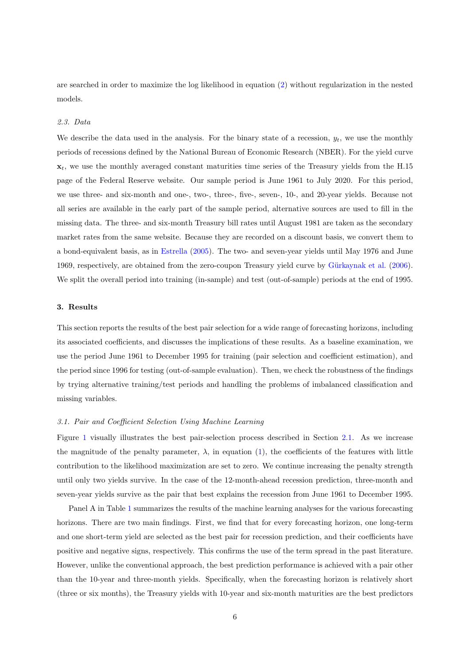are searched in order to maximize the log likelihood in equation [\(2\)](#page-3-1) without regularization in the nested models.

### 2.3. Data

We describe the data used in the analysis. For the binary state of a recession,  $y_t$ , we use the monthly periods of recessions defined by the National Bureau of Economic Research (NBER). For the yield curve  $x_t$ , we use the monthly averaged constant maturities time series of the Treasury yields from the H.15 page of the Federal Reserve website. Our sample period is June 1961 to July 2020. For this period, we use three- and six-month and one-, two-, three-, five-, seven-, 10-, and 20-year yields. Because not all series are available in the early part of the sample period, alternative sources are used to fill in the missing data. The three- and six-month Treasury bill rates until August 1981 are taken as the secondary market rates from the same website. Because they are recorded on a discount basis, we convert them to a bond-equivalent basis, as in [Estrella](#page-17-4) [\(2005\)](#page-17-4). The two- and seven-year yields until May 1976 and June 1969, respectively, are obtained from the zero-coupon Treasury yield curve by Gürkaynak et al. [\(2006\)](#page-17-11). We split the overall period into training (in-sample) and test (out-of-sample) periods at the end of 1995.

# <span id="page-5-0"></span>3. Results

This section reports the results of the best pair selection for a wide range of forecasting horizons, including its associated coefficients, and discusses the implications of these results. As a baseline examination, we use the period June 1961 to December 1995 for training (pair selection and coefficient estimation), and the period since 1996 for testing (out-of-sample evaluation). Then, we check the robustness of the findings by trying alternative training/test periods and handling the problems of imbalanced classification and missing variables.

## 3.1. Pair and Coefficient Selection Using Machine Learning

Figure [1](#page-6-0) visually illustrates the best pair-selection process described in Section [2.1.](#page-2-1) As we increase the magnitude of the penalty parameter,  $\lambda$ , in equation [\(1\)](#page-3-0), the coefficients of the features with little contribution to the likelihood maximization are set to zero. We continue increasing the penalty strength until only two yields survive. In the case of the 12-month-ahead recession prediction, three-month and seven-year yields survive as the pair that best explains the recession from June 1961 to December 1995.

Panel A in Table [1](#page-7-0) summarizes the results of the machine learning analyses for the various forecasting horizons. There are two main findings. First, we find that for every forecasting horizon, one long-term and one short-term yield are selected as the best pair for recession prediction, and their coefficients have positive and negative signs, respectively. This confirms the use of the term spread in the past literature. However, unlike the conventional approach, the best prediction performance is achieved with a pair other than the 10-year and three-month yields. Specifically, when the forecasting horizon is relatively short (three or six months), the Treasury yields with 10-year and six-month maturities are the best predictors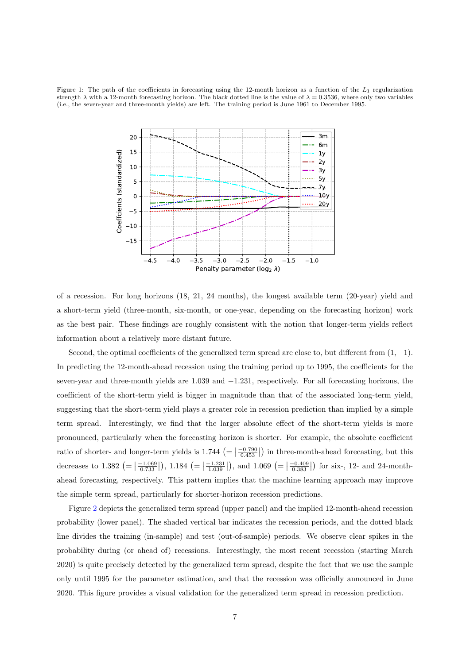<span id="page-6-0"></span>Figure 1: The path of the coefficients in forecasting using the 12-month horizon as a function of the  $L_1$  regularization strength  $\lambda$  with a 12-month forecasting horizon. The black dotted line is the value of  $\lambda = 0.3536$ , where only two variables (i.e., the seven-year and three-month yields) are left. The training period is June 1961 to December 1995.



of a recession. For long horizons (18, 21, 24 months), the longest available term (20-year) yield and a short-term yield (three-month, six-month, or one-year, depending on the forecasting horizon) work as the best pair. These findings are roughly consistent with the notion that longer-term yields reflect information about a relatively more distant future.

Second, the optimal coefficients of the generalized term spread are close to, but different from  $(1, -1)$ . In predicting the 12-month-ahead recession using the training period up to 1995, the coefficients for the seven-year and three-month yields are 1.039 and  $-1.231$ , respectively. For all forecasting horizons, the coefficient of the short-term yield is bigger in magnitude than that of the associated long-term yield, suggesting that the short-term yield plays a greater role in recession prediction than implied by a simple term spread. Interestingly, we find that the larger absolute effect of the short-term yields is more pronounced, particularly when the forecasting horizon is shorter. For example, the absolute coefficient ratio of shorter- and longer-term yields is  $1.744 \left(= \left|\frac{-0.790}{0.453}\right|\right)$  in three-month-ahead forecasting, but this decreases to 1.382  $\left(= \left|\frac{-1.069}{0.733}\right|\right)$ , 1.184  $\left(= \left|\frac{-1.231}{1.039}\right|\right)$ , and 1.069  $\left(= \left|\frac{-0.409}{0.383}\right|\right)$  for six-, 12- and 24-monthahead forecasting, respectively. This pattern implies that the machine learning approach may improve the simple term spread, particularly for shorter-horizon recession predictions.

Figure [2](#page-8-0) depicts the generalized term spread (upper panel) and the implied 12-month-ahead recession probability (lower panel). The shaded vertical bar indicates the recession periods, and the dotted black line divides the training (in-sample) and test (out-of-sample) periods. We observe clear spikes in the probability during (or ahead of) recessions. Interestingly, the most recent recession (starting March 2020) is quite precisely detected by the generalized term spread, despite the fact that we use the sample only until 1995 for the parameter estimation, and that the recession was officially announced in June 2020. This figure provides a visual validation for the generalized term spread in recession prediction.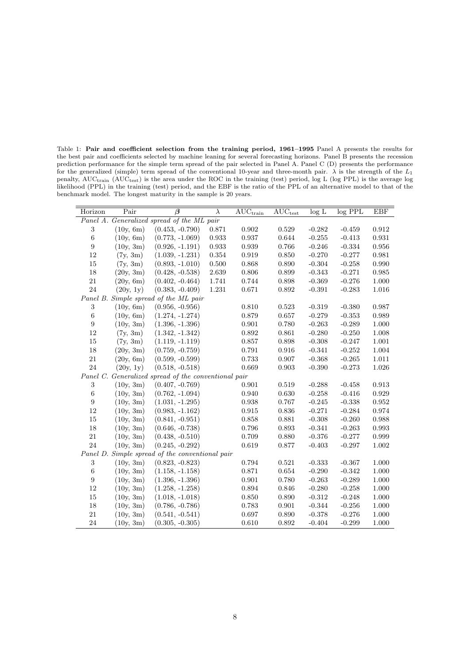<span id="page-7-0"></span>Table 1: Pair and coefficient selection from the training period, 1961–1995 Panel A presents the results for the best pair and coefficients selected by machine leaning for several forecasting horizons. Panel B presents the recession prediction performance for the simple term spread of the pair selected in Panel A. Panel C (D) presents the performance for the generalized (simple) term spread of the conventional 10-year and three-month pair.  $\lambda$  is the strength of the  $L_1$ penalty, AUC<sub>train</sub> (AUC<sub>test</sub>) is the area under the ROC in the training (test) period, log L (log PPL) is the average log likelihood (PPL) in the training (test) period, and the EBF is the ratio of the PPL of an alternative model to that of the benchmark model. The longest maturity in the sample is 20 years.

| Horizon                                              | Pair      | $\overline{\beta}$                              | $\lambda$   | $AUC_{train}$ | $AUC_{test}$ | log L    | $log$ PPL | <b>EBF</b> |  |
|------------------------------------------------------|-----------|-------------------------------------------------|-------------|---------------|--------------|----------|-----------|------------|--|
| Panel A. Generalized spread of the ML pair           |           |                                                 |             |               |              |          |           |            |  |
| 3                                                    | (10y, 6m) | $(0.453, -0.790)$                               | 0.871       | 0.902         | 0.529        | $-0.282$ | $-0.459$  | 0.912      |  |
| $\overline{6}$                                       | (10y, 6m) | $(0.773, -1.069)$                               | 0.933       | 0.937         | $\,0.644\,$  | $-0.255$ | $-0.413$  | 0.931      |  |
| $\boldsymbol{9}$                                     | (10y, 3m) | $(0.926, -1.191)$                               | 0.933       | 0.939         | 0.766        | $-0.246$ | $-0.334$  | 0.956      |  |
| $12\,$                                               | (7y, 3m)  | $(1.039, -1.231)$                               | $\,0.354\,$ | 0.919         | $0.850\,$    | $-0.270$ | $-0.277$  | 0.981      |  |
| 15                                                   | (7y, 3m)  | $(0.893, -1.010)$                               | 0.500       | 0.868         | 0.890        | $-0.304$ | $-0.258$  | 0.990      |  |
| $18\,$                                               | (20y, 3m) | $(0.428, -0.538)$                               | $2.639\,$   | 0.806         | 0.899        | $-0.343$ | $-0.271$  | 0.985      |  |
| 21                                                   | (20y, 6m) | $(0.402, -0.464)$                               | 1.741       | 0.744         | 0.898        | $-0.369$ | $-0.276$  | 1.000      |  |
| 24                                                   | (20y, 1y) | $(0.383, -0.409)$                               | 1.231       | 0.671         | $\,0.892\,$  | $-0.391$ | $-0.283$  | $1.016\,$  |  |
| Panel B. Simple spread of the ML pair                |           |                                                 |             |               |              |          |           |            |  |
| $\,3$                                                | (10y, 6m) | $(0.956, -0.956)$                               |             | 0.810         | 0.523        | $-0.319$ | $-0.380$  | 0.987      |  |
| $\,6$                                                | (10y, 6m) | $(1.274, -1.274)$                               |             | 0.879         | 0.657        | $-0.279$ | $-0.353$  | 0.989      |  |
| $\boldsymbol{9}$                                     | (10y, 3m) | $(1.396, -1.396)$                               |             | 0.901         | 0.780        | $-0.263$ | $-0.289$  | $1.000\,$  |  |
| 12                                                   | (7y, 3m)  | $(1.342, -1.342)$                               |             | 0.892         | 0.861        | $-0.280$ | $-0.250$  | 1.008      |  |
| $15\,$                                               | (7y, 3m)  | $(1.119, -1.119)$                               |             | 0.857         | 0.898        | $-0.308$ | $-0.247$  | 1.001      |  |
| $18\,$                                               | (20y, 3m) | $(0.759, -0.759)$                               |             | 0.791         | 0.916        | $-0.341$ | $-0.252$  | 1.004      |  |
| 21                                                   | (20y, 6m) | $(0.599, -0.599)$                               |             | 0.733         | $0.907\,$    | $-0.368$ | $-0.265$  | 1.011      |  |
| 24                                                   | (20y, 1y) | $(0.518, -0.518)$                               |             | 0.669         | 0.903        | $-0.390$ | $-0.273$  | 1.026      |  |
| Panel C. Generalized spread of the conventional pair |           |                                                 |             |               |              |          |           |            |  |
| $\,3$                                                | (10y, 3m) | $(0.407, -0.769)$                               |             | 0.901         | 0.519        | $-0.288$ | $-0.458$  | 0.913      |  |
| $\,6$                                                | (10y, 3m) | $(0.762, -1.094)$                               |             | 0.940         | 0.630        | $-0.258$ | $-0.416$  | 0.929      |  |
| $\boldsymbol{9}$                                     | (10y, 3m) | $(1.031, -1.295)$                               |             | 0.938         | 0.767        | $-0.245$ | $-0.338$  | 0.952      |  |
| 12                                                   | (10y, 3m) | $(0.983, -1.162)$                               |             | 0.915         | 0.836        | $-0.271$ | $-0.284$  | 0.974      |  |
| $15\,$                                               | (10y, 3m) | $(0.841, -0.951)$                               |             | 0.858         | 0.881        | $-0.308$ | $-0.260$  | 0.988      |  |
| $18\,$                                               | (10y, 3m) | $(0.646, -0.738)$                               |             | 0.796         | 0.893        | $-0.341$ | $-0.263$  | 0.993      |  |
| 21                                                   | (10y, 3m) | $(0.438, -0.510)$                               |             | 0.709         | 0.880        | $-0.376$ | $-0.277$  | 0.999      |  |
| 24                                                   | (10y, 3m) | $(0.245, -0.292)$                               |             | 0.619         | 0.877        | $-0.403$ | $-0.297$  | 1.002      |  |
|                                                      |           | Panel D. Simple spread of the conventional pair |             |               |              |          |           |            |  |
| 3                                                    | (10y, 3m) | $(0.823, -0.823)$                               |             | 0.794         | 0.521        | $-0.333$ | $-0.367$  | 1.000      |  |
| $\,6$                                                | (10y, 3m) | $(1.158, -1.158)$                               |             | 0.871         | 0.654        | $-0.290$ | $-0.342$  | 1.000      |  |
| 9                                                    | (10y, 3m) | $(1.396, -1.396)$                               |             | 0.901         | 0.780        | $-0.263$ | $-0.289$  | 1.000      |  |
| $12\,$                                               | (10y, 3m) | $(1.258, -1.258)$                               |             | 0.894         | 0.846        | $-0.280$ | $-0.258$  | 1.000      |  |
| 15                                                   | (10y, 3m) | $(1.018, -1.018)$                               |             | 0.850         | 0.890        | $-0.312$ | $-0.248$  | 1.000      |  |
| $18\,$                                               | (10y, 3m) | $(0.786, -0.786)$                               |             | 0.783         | 0.901        | $-0.344$ | $-0.256$  | $1.000\,$  |  |
| 21                                                   | (10y, 3m) | $(0.541, -0.541)$                               |             | 0.697         | 0.890        | $-0.378$ | $-0.276$  | 1.000      |  |
| 24                                                   | (10y, 3m) | $(0.305, -0.305)$                               |             | 0.610         | 0.892        | $-0.404$ | $-0.299$  | 1.000      |  |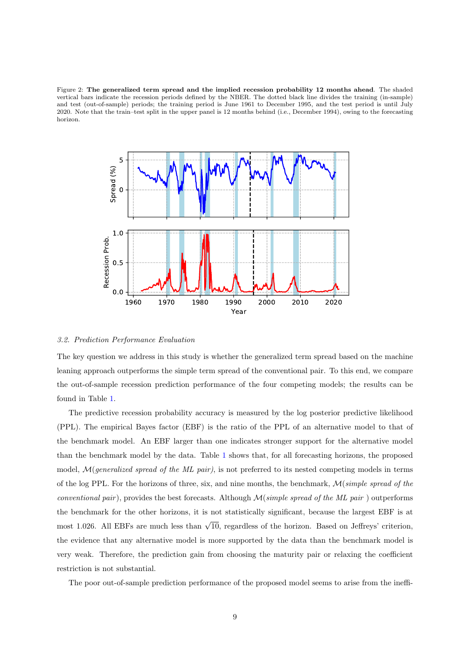<span id="page-8-0"></span>Figure 2: The generalized term spread and the implied recession probability 12 months ahead. The shaded vertical bars indicate the recession periods defined by the NBER. The dotted black line divides the training (in-sample) and test (out-of-sample) periods; the training period is June 1961 to December 1995, and the test period is until July 2020. Note that the train–test split in the upper panel is 12 months behind (i.e., December 1994), owing to the forecasting horizon.



## 3.2. Prediction Performance Evaluation

The key question we address in this study is whether the generalized term spread based on the machine leaning approach outperforms the simple term spread of the conventional pair. To this end, we compare the out-of-sample recession prediction performance of the four competing models; the results can be found in Table [1.](#page-7-0)

The predictive recession probability accuracy is measured by the log posterior predictive likelihood (PPL). The empirical Bayes factor (EBF) is the ratio of the PPL of an alternative model to that of the benchmark model. An EBF larger than one indicates stronger support for the alternative model than the benchmark model by the data. Table [1](#page-7-0) shows that, for all forecasting horizons, the proposed model, M(generalized spread of the ML pair), is not preferred to its nested competing models in terms of the log PPL. For the horizons of three, six, and nine months, the benchmark,  $\mathcal{M}(simple\ spread\ of\ the$ conventional pair), provides the best forecasts. Although  $\mathcal{M}(simple\ spread\ of\ the\ ML\ pair)$  outperforms the benchmark for the other horizons, it is not statistically significant, because the largest EBF is at most 1.026. All EBFs are much less than  $\sqrt{10}$ , regardless of the horizon. Based on Jeffreys' criterion, the evidence that any alternative model is more supported by the data than the benchmark model is very weak. Therefore, the prediction gain from choosing the maturity pair or relaxing the coefficient restriction is not substantial.

The poor out-of-sample prediction performance of the proposed model seems to arise from the ineffi-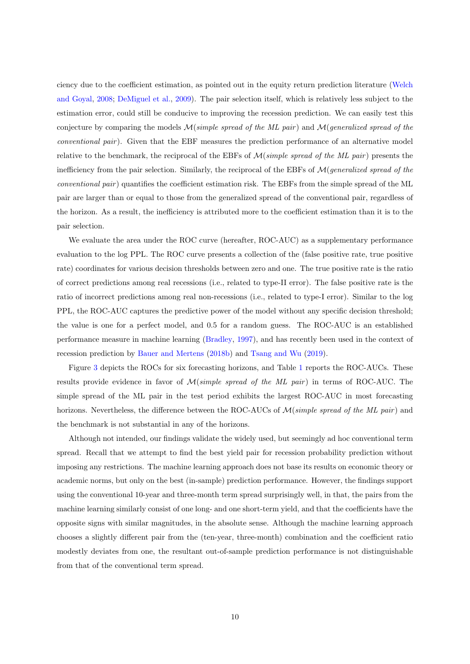ciency due to the coefficient estimation, as pointed out in the equity return prediction literature [\(Welch](#page-18-8) [and Goyal,](#page-18-8) [2008;](#page-18-8) [DeMiguel et al.,](#page-17-12) [2009\)](#page-17-12). The pair selection itself, which is relatively less subject to the estimation error, could still be conducive to improving the recession prediction. We can easily test this conjecture by comparing the models  $\mathcal{M}(simple\;spread\; of\; the\; ML\; pair)$  and  $\mathcal{M}(generalized\; spread\; of\; the\; M\; is\; 1)$ conventional pair). Given that the EBF measures the prediction performance of an alternative model relative to the benchmark, the reciprocal of the EBFs of  $\mathcal{M}(simple\ spread\ of\ the\ ML\ pair)$  presents the inefficiency from the pair selection. Similarly, the reciprocal of the EBFs of  $\mathcal{M}(generalized spread of the$ conventional pair ) quantifies the coefficient estimation risk. The EBFs from the simple spread of the ML pair are larger than or equal to those from the generalized spread of the conventional pair, regardless of the horizon. As a result, the inefficiency is attributed more to the coefficient estimation than it is to the pair selection.

We evaluate the area under the ROC curve (hereafter, ROC-AUC) as a supplementary performance evaluation to the log PPL. The ROC curve presents a collection of the (false positive rate, true positive rate) coordinates for various decision thresholds between zero and one. The true positive rate is the ratio of correct predictions among real recessions (i.e., related to type-II error). The false positive rate is the ratio of incorrect predictions among real non-recessions (i.e., related to type-I error). Similar to the log PPL, the ROC-AUC captures the predictive power of the model without any specific decision threshold; the value is one for a perfect model, and 0.5 for a random guess. The ROC-AUC is an established performance measure in machine learning [\(Bradley,](#page-17-13) [1997\)](#page-17-13), and has recently been used in the context of recession prediction by [Bauer and Mertens](#page-17-8) [\(2018b\)](#page-17-8) and [Tsang and Wu](#page-18-9) [\(2019\)](#page-18-9).

Figure [3](#page-10-0) depicts the ROCs for six forecasting horizons, and Table [1](#page-7-0) reports the ROC-AUCs. These results provide evidence in favor of  $\mathcal{M}(simple\ spread\ of\ the\ ML\ pair)$  in terms of ROC-AUC. The simple spread of the ML pair in the test period exhibits the largest ROC-AUC in most forecasting horizons. Nevertheless, the difference between the ROC-AUCs of  $\mathcal{M}(simple\ spread\ of\ the\ ML\ pair)$  and the benchmark is not substantial in any of the horizons.

Although not intended, our findings validate the widely used, but seemingly ad hoc conventional term spread. Recall that we attempt to find the best yield pair for recession probability prediction without imposing any restrictions. The machine learning approach does not base its results on economic theory or academic norms, but only on the best (in-sample) prediction performance. However, the findings support using the conventional 10-year and three-month term spread surprisingly well, in that, the pairs from the machine learning similarly consist of one long- and one short-term yield, and that the coefficients have the opposite signs with similar magnitudes, in the absolute sense. Although the machine learning approach chooses a slightly different pair from the (ten-year, three-month) combination and the coefficient ratio modestly deviates from one, the resultant out-of-sample prediction performance is not distinguishable from that of the conventional term spread.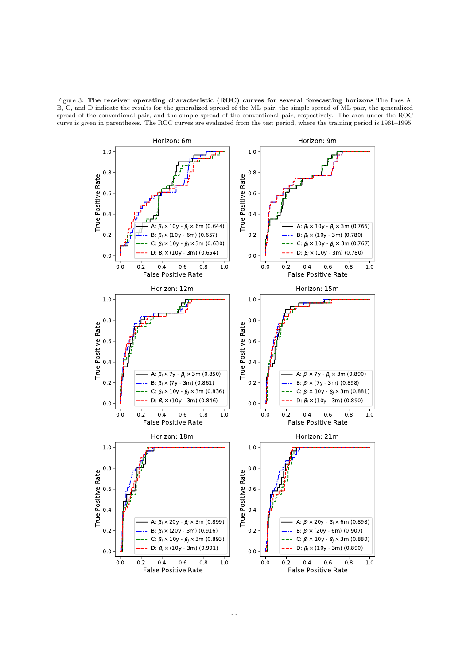<span id="page-10-0"></span>Figure 3: The receiver operating characteristic (ROC) curves for several forecasting horizons The lines A, B, C, and D indicate the results for the generalized spread of the ML pair, the simple spread of ML pair, the generalized spread of the conventional pair, and the simple spread of the conventional pair, respectively. The area under the ROC curve is given in parentheses. The ROC curves are evaluated from the test period, where the training period is 1961–1995.

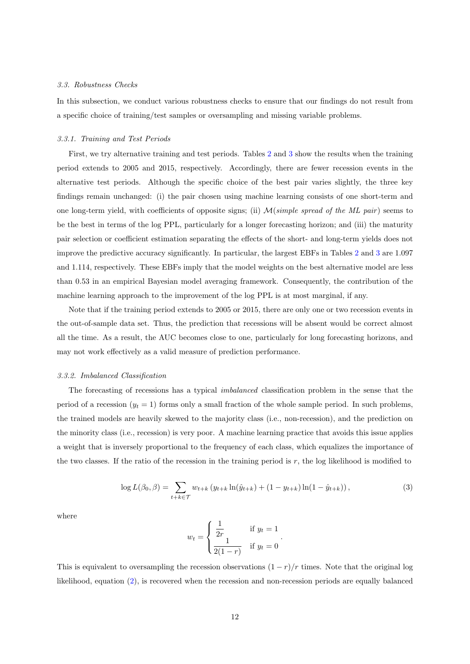#### 3.3. Robustness Checks

In this subsection, we conduct various robustness checks to ensure that our findings do not result from a specific choice of training/test samples or oversampling and missing variable problems.

#### 3.3.1. Training and Test Periods

First, we try alternative training and test periods. Tables [2](#page-12-0) and [3](#page-13-0) show the results when the training period extends to 2005 and 2015, respectively. Accordingly, there are fewer recession events in the alternative test periods. Although the specific choice of the best pair varies slightly, the three key findings remain unchanged: (i) the pair chosen using machine learning consists of one short-term and one long-term yield, with coefficients of opposite signs; (ii)  $M(simple\ spread\ of\ the\ ML\ pair)$  seems to be the best in terms of the log PPL, particularly for a longer forecasting horizon; and (iii) the maturity pair selection or coefficient estimation separating the effects of the short- and long-term yields does not improve the predictive accuracy significantly. In particular, the largest EBFs in Tables [2](#page-12-0) and [3](#page-13-0) are 1.097 and 1.114, respectively. These EBFs imply that the model weights on the best alternative model are less than 0.53 in an empirical Bayesian model averaging framework. Consequently, the contribution of the machine learning approach to the improvement of the log PPL is at most marginal, if any.

Note that if the training period extends to 2005 or 2015, there are only one or two recession events in the out-of-sample data set. Thus, the prediction that recessions will be absent would be correct almost all the time. As a result, the AUC becomes close to one, particularly for long forecasting horizons, and may not work effectively as a valid measure of prediction performance.

#### 3.3.2. Imbalanced Classification

The forecasting of recessions has a typical imbalanced classification problem in the sense that the period of a recession  $(y_t = 1)$  forms only a small fraction of the whole sample period. In such problems, the trained models are heavily skewed to the majority class (i.e., non-recession), and the prediction on the minority class (i.e., recession) is very poor. A machine learning practice that avoids this issue applies a weight that is inversely proportional to the frequency of each class, which equalizes the importance of the two classes. If the ratio of the recession in the training period is r, the log likelihood is modified to

<span id="page-11-0"></span>
$$
\log L(\beta_0, \beta) = \sum_{t+k \in \mathcal{T}} w_{t+k} \left( y_{t+k} \ln(\hat{y}_{t+k}) + (1 - y_{t+k}) \ln(1 - \hat{y}_{t+k}) \right),\tag{3}
$$

where

$$
w_{t} = \begin{cases} \frac{1}{2r} & \text{if } y_{t} = 1\\ \frac{1}{2(1-r)} & \text{if } y_{t} = 0 \end{cases}.
$$

This is equivalent to oversampling the recession observations  $(1 - r)/r$  times. Note that the original log likelihood, equation [\(2\)](#page-3-1), is recovered when the recession and non-recession periods are equally balanced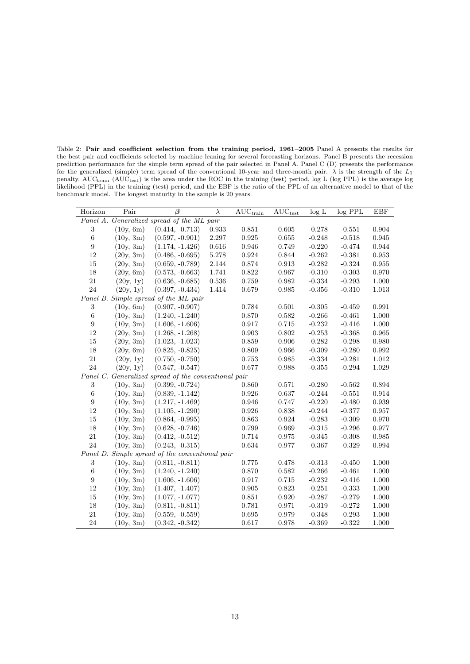<span id="page-12-0"></span>Table 2: Pair and coefficient selection from the training period, 1961–2005 Panel A presents the results for the best pair and coefficients selected by machine leaning for several forecasting horizons. Panel B presents the recession prediction performance for the simple term spread of the pair selected in Panel A. Panel C (D) presents the performance for the generalized (simple) term spread of the conventional 10-year and three-month pair.  $\lambda$  is the strength of the  $L_1$ penalty, AUC<sub>train</sub> (AUC<sub>test</sub>) is the area under the ROC in the training (test) period, log L (log PPL) is the average log likelihood (PPL) in the training (test) period, and the EBF is the ratio of the PPL of an alternative model to that of the benchmark model. The longest maturity in the sample is 20 years.

| Horizon                                    | Pair      | $\overline{\beta}$                                   | $\lambda$ | $AUC_{train}$ | $AUC_{test}$ | log L    | $log$ PPL | EBF         |
|--------------------------------------------|-----------|------------------------------------------------------|-----------|---------------|--------------|----------|-----------|-------------|
| Panel A. Generalized spread of the ML pair |           |                                                      |           |               |              |          |           |             |
| 3                                          | (10y, 6m) | $(0.414, -0.713)$                                    | 0.933     | 0.851         | 0.605        | $-0.278$ | $-0.551$  | 0.904       |
| $\sqrt{6}$                                 | (10y, 3m) | $(0.597, -0.901)$                                    | 2.297     | 0.925         | 0.655        | $-0.248$ | $-0.518$  | 0.945       |
| $\boldsymbol{9}$                           | (10y, 3m) | $(1.174, -1.426)$                                    | 0.616     | 0.946         | 0.749        | $-0.220$ | $-0.474$  | 0.944       |
| 12                                         | (20y, 3m) | $(0.486, -0.695)$                                    | 5.278     | 0.924         | 0.844        | $-0.262$ | $-0.381$  | 0.953       |
| 15                                         | (20y, 3m) | $(0.659, -0.789)$                                    | 2.144     | 0.874         | 0.913        | $-0.282$ | $-0.324$  | 0.955       |
| $18\,$                                     | (20y, 6m) | $(0.573, -0.663)$                                    | 1.741     | 0.822         | 0.967        | $-0.310$ | $-0.303$  | 0.970       |
| 21                                         | (20y, 1y) | $(0.636, -0.685)$                                    | 0.536     | 0.759         | 0.982        | $-0.334$ | $-0.293$  | 1.000       |
| 24                                         | (20y, 1y) | $(0.397, -0.434)$                                    | 1.414     | 0.679         | 0.985        | $-0.356$ | $-0.310$  | $1.013\,$   |
|                                            |           | Panel B. Simple spread of the ML pair                |           |               |              |          |           |             |
| $\sqrt{3}$                                 | (10y, 6m) | $(0.907, -0.907)$                                    |           | 0.784         | 0.501        | $-0.305$ | $-0.459$  | 0.991       |
| $\,6$                                      | (10y, 3m) | $(1.240, -1.240)$                                    |           | 0.870         | 0.582        | $-0.266$ | $-0.461$  | 1.000       |
| $\boldsymbol{9}$                           | (10y, 3m) | $(1.606, -1.606)$                                    |           | 0.917         | $0.715\,$    | $-0.232$ | $-0.416$  | 1.000       |
| 12                                         | (20y, 3m) | $(1.268, -1.268)$                                    |           | 0.903         | 0.802        | $-0.253$ | $-0.368$  | 0.965       |
| $15\,$                                     | (20y, 3m) | $(1.023, -1.023)$                                    |           | 0.859         | 0.906        | $-0.282$ | $-0.298$  | 0.980       |
| $18\,$                                     | (20y, 6m) | $(0.825, -0.825)$                                    |           | 0.809         | 0.966        | $-0.309$ | $-0.280$  | 0.992       |
| 21                                         | (20y, 1y) | $(0.750, -0.750)$                                    |           | 0.753         | 0.985        | $-0.334$ | $-0.281$  | 1.012       |
| 24                                         | (20y, 1y) | $(0.547, -0.547)$                                    |           | 0.677         | 0.988        | $-0.355$ | $-0.294$  | 1.029       |
|                                            |           | Panel C. Generalized spread of the conventional pair |           |               |              |          |           |             |
| $\sqrt{3}$                                 | (10y, 3m) | $(0.399, -0.724)$                                    |           | 0.860         | 0.571        | $-0.280$ | $-0.562$  | $\,0.894\,$ |
| $\,6$                                      | (10y, 3m) | $(0.839, -1.142)$                                    |           | 0.926         | 0.637        | $-0.244$ | $-0.551$  | 0.914       |
| $\boldsymbol{9}$                           | (10y, 3m) | $(1.217, -1.469)$                                    |           | 0.946         | 0.747        | $-0.220$ | $-0.480$  | $\,0.939\,$ |
| 12                                         | (10y, 3m) | $(1.105, -1.290)$                                    |           | 0.926         | 0.838        | $-0.244$ | $-0.377$  | 0.957       |
| $15\,$                                     | (10y, 3m) | $(0.864, -0.995)$                                    |           | 0.863         | $\,0.924\,$  | $-0.283$ | $-0.309$  | 0.970       |
| 18                                         | (10y, 3m) | $(0.628, -0.746)$                                    |           | 0.799         | 0.969        | $-0.315$ | $-0.296$  | 0.977       |
| 21                                         | (10y, 3m) | $(0.412, -0.512)$                                    |           | 0.714         | $\,0.975\,$  | $-0.345$ | $-0.308$  | $\,0.985\,$ |
| 24                                         | (10y, 3m) | $(0.243, -0.315)$                                    |           | $\,0.634\,$   | 0.977        | $-0.367$ | $-0.329$  | 0.994       |
|                                            |           | Panel D. Simple spread of the conventional pair      |           |               |              |          |           |             |
| $\,3$                                      | (10y, 3m) | $(0.811, -0.811)$                                    |           | 0.775         | 0.478        | $-0.313$ | $-0.450$  | 1.000       |
| $\,6$                                      | (10y, 3m) | $(1.240, -1.240)$                                    |           | 0.870         | $\,0.582\,$  | $-0.266$ | $-0.461$  | $1.000\,$   |
| $\boldsymbol{9}$                           | (10y, 3m) | $(1.606, -1.606)$                                    |           | 0.917         | 0.715        | $-0.232$ | $-0.416$  | 1.000       |
| $12\,$                                     | (10y, 3m) | $(1.407, -1.407)$                                    |           | 0.905         | 0.823        | $-0.251$ | $-0.333$  | 1.000       |
| 15                                         | (10y, 3m) | $(1.077, -1.077)$                                    |           | 0.851         | 0.920        | $-0.287$ | $-0.279$  | 1.000       |
| $18\,$                                     | (10y, 3m) | $(0.811, -0.811)$                                    |           | 0.781         | 0.971        | $-0.319$ | $-0.272$  | $1.000\,$   |
| 21                                         | (10y, 3m) | $(0.559, -0.559)$                                    |           | 0.695         | 0.979        | $-0.348$ | $-0.293$  | 1.000       |
| $24\,$                                     | (10y, 3m) | $(0.342, -0.342)$                                    |           | 0.617         | 0.978        | $-0.369$ | $-0.322$  | 1.000       |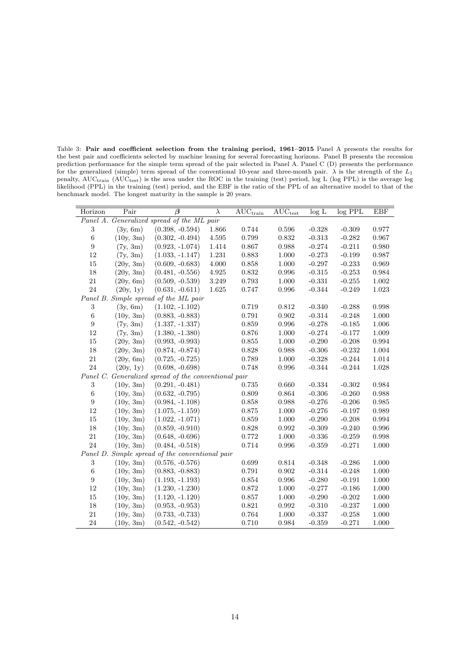<span id="page-13-0"></span>Table 3: Pair and coefficient selection from the training period, 1961–2015 Panel A presents the results for the best pair and coefficients selected by machine leaning for several forecasting horizons. Panel B presents the recession prediction performance for the simple term spread of the pair selected in Panel A. Panel C (D) presents the performance for the generalized (simple) term spread of the conventional 10-year and three-month pair.  $\lambda$  is the strength of the  $L_1$ penalty, AUC<sub>train</sub> (AUC<sub>test</sub>) is the area under the ROC in the training (test) period, log L (log PPL) is the average log likelihood (PPL) in the training (test) period, and the EBF is the ratio of the PPL of an alternative model to that of the benchmark model. The longest maturity in the sample is 20 years.

| Horizon                                    | Pair      | $\overline{\beta}$                                   | $\lambda$ | $\overline{\text{AUC}_{\text{train}}}$ | $AUC_{test}$ | log L    | $log$ PPL | EBF         |
|--------------------------------------------|-----------|------------------------------------------------------|-----------|----------------------------------------|--------------|----------|-----------|-------------|
| Panel A. Generalized spread of the ML pair |           |                                                      |           |                                        |              |          |           |             |
| 3                                          | (3y, 6m)  | $(0.398, -0.594)$                                    | 1.866     | 0.744                                  | 0.596        | $-0.328$ | $-0.309$  | 0.977       |
| $\,6$                                      | (10y, 3m) | $(0.302, -0.494)$                                    | 4.595     | 0.799                                  | 0.832        | $-0.313$ | $-0.282$  | 0.967       |
| $\boldsymbol{9}$                           | (7y, 3m)  | $(0.923, -1.074)$                                    | 1.414     | 0.867                                  | 0.988        | $-0.274$ | $-0.211$  | 0.980       |
| 12                                         | (7y, 3m)  | $(1.033, -1.147)$                                    | 1.231     | 0.883                                  | 1.000        | $-0.273$ | $-0.199$  | 0.987       |
| 15                                         | (20y, 3m) | $(0.609, -0.683)$                                    | 4.000     | 0.858                                  | 1.000        | $-0.297$ | $-0.233$  | 0.969       |
| $18\,$                                     | (20y, 3m) | $(0.481, -0.556)$                                    | 4.925     | 0.832                                  | 0.996        | $-0.315$ | $-0.253$  | 0.984       |
| 21                                         | (20y, 6m) | $(0.509, -0.539)$                                    | 3.249     | 0.793                                  | 1.000        | $-0.331$ | $-0.255$  | 1.002       |
| 24                                         | (20y, 1y) | $(0.631, -0.611)$                                    | 1.625     | 0.747                                  | 0.996        | $-0.344$ | $-0.249$  | 1.023       |
|                                            |           | Panel B. Simple spread of the ML pair                |           |                                        |              |          |           |             |
| $\sqrt{3}$                                 | (3y, 6m)  | $(1.102, -1.102)$                                    |           | 0.719                                  | 0.812        | $-0.340$ | $-0.288$  | 0.998       |
| $\,6$                                      | (10y, 3m) | $(0.883, -0.883)$                                    |           | 0.791                                  | 0.902        | $-0.314$ | $-0.248$  | 1.000       |
| $\boldsymbol{9}$                           | (7y, 3m)  | $(1.337, -1.337)$                                    |           | 0.859                                  | 0.996        | $-0.278$ | $-0.185$  | 1.006       |
| 12                                         | (7y, 3m)  | $(1.380, -1.380)$                                    |           | 0.876                                  | 1.000        | $-0.274$ | $-0.177$  | 1.009       |
| $15\,$                                     | (20y, 3m) | $(0.993, -0.993)$                                    |           | 0.855                                  | 1.000        | $-0.290$ | $-0.208$  | 0.994       |
| $18\,$                                     | (20y, 3m) | $(0.874, -0.874)$                                    |           | 0.828                                  | 0.988        | $-0.306$ | $-0.232$  | $1.004\,$   |
| 21                                         | (20y, 6m) | $(0.725, -0.725)$                                    |           | 0.789                                  | 1.000        | $-0.328$ | $-0.244$  | 1.014       |
| 24                                         | (20y, 1y) | $(0.698, -0.698)$                                    |           | 0.748                                  | $\,0.996\,$  | $-0.344$ | $-0.244$  | 1.028       |
|                                            |           | Panel C. Generalized spread of the conventional pair |           |                                        |              |          |           |             |
| $\sqrt{3}$                                 | (10y, 3m) | $(0.291, -0.481)$                                    |           | 0.735                                  | 0.660        | $-0.334$ | $-0.302$  | 0.984       |
| $\,6\,$                                    | (10y, 3m) | $(0.632, -0.795)$                                    |           | 0.809                                  | 0.864        | $-0.306$ | $-0.260$  | 0.988       |
| $\boldsymbol{9}$                           | (10y, 3m) | $(0.984, -1.108)$                                    |           | 0.858                                  | 0.988        | $-0.276$ | $-0.206$  | $\,0.985\,$ |
| 12                                         | (10y, 3m) | $(1.075, -1.159)$                                    |           | 0.875                                  | 1.000        | $-0.276$ | $-0.197$  | 0.989       |
| $15\,$                                     | (10y, 3m) | $(1.022, -1.071)$                                    |           | 0.859                                  | 1.000        | $-0.290$ | $-0.208$  | $\,0.994\,$ |
| 18                                         | (10y, 3m) | $(0.859, -0.910)$                                    |           | 0.828                                  | 0.992        | $-0.309$ | $-0.240$  | 0.996       |
| 21                                         | (10y, 3m) | $(0.648, -0.696)$                                    |           | 0.772                                  | $1.000\,$    | $-0.336$ | $-0.259$  | 0.998       |
| 24                                         | (10y, 3m) | $(0.484, -0.518)$                                    |           | 0.714                                  | 0.996        | $-0.359$ | $-0.271$  | 1.000       |
|                                            |           | Panel D. Simple spread of the conventional pair      |           |                                        |              |          |           |             |
| $\,3$                                      | (10y, 3m) | $(0.576, -0.576)$                                    |           | 0.699                                  | 0.814        | $-0.348$ | $-0.286$  | 1.000       |
| $\,6\,$                                    | (10y, 3m) | $(0.883, -0.883)$                                    |           | 0.791                                  | $\rm 0.902$  | $-0.314$ | $-0.248$  | $1.000\,$   |
| $\boldsymbol{9}$                           | (10y, 3m) | $(1.193, -1.193)$                                    |           | 0.854                                  | 0.996        | $-0.280$ | $-0.191$  | 1.000       |
| $12\,$                                     | (10y, 3m) | $(1.230, -1.230)$                                    |           | $\rm 0.872$                            | $1.000\,$    | $-0.277$ | $-0.186$  | 1.000       |
| 15                                         | (10y, 3m) | $(1.120, -1.120)$                                    |           | 0.857                                  | 1.000        | $-0.290$ | $-0.202$  | 1.000       |
| $18\,$                                     | (10y, 3m) | $(0.953, -0.953)$                                    |           | 0.821                                  | $\,0.992\,$  | $-0.310$ | $-0.237$  | $1.000\,$   |
| 21                                         | (10y, 3m) | $(0.733, -0.733)$                                    |           | 0.764                                  | 1.000        | $-0.337$ | $-0.258$  | 1.000       |
| $24\,$                                     | (10y, 3m) | $(0.542, -0.542)$                                    |           | 0.710                                  | 0.984        | $-0.359$ | $-0.271$  | 1.000       |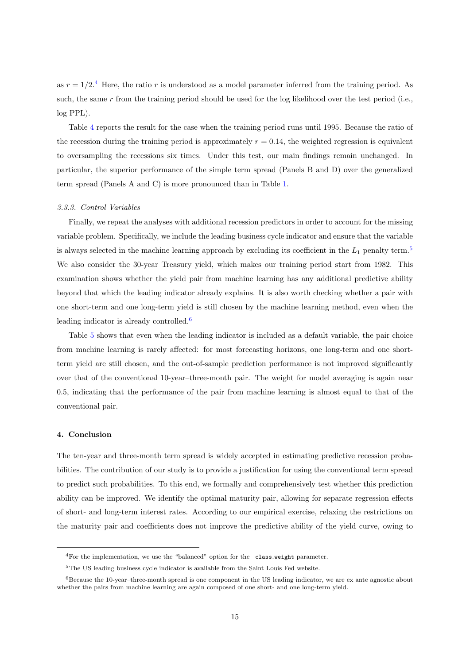as  $r = 1/2<sup>4</sup>$  $r = 1/2<sup>4</sup>$  $r = 1/2<sup>4</sup>$  Here, the ratio r is understood as a model parameter inferred from the training period. As such, the same  $r$  from the training period should be used for the log likelihood over the test period (i.e., log PPL).

Table [4](#page-15-0) reports the result for the case when the training period runs until 1995. Because the ratio of the recession during the training period is approximately  $r = 0.14$ , the weighted regression is equivalent to oversampling the recessions six times. Under this test, our main findings remain unchanged. In particular, the superior performance of the simple term spread (Panels B and D) over the generalized term spread (Panels A and C) is more pronounced than in Table [1.](#page-7-0)

#### 3.3.3. Control Variables

Finally, we repeat the analyses with additional recession predictors in order to account for the missing variable problem. Specifically, we include the leading business cycle indicator and ensure that the variable is always selected in the machine learning approach by excluding its coefficient in the  $L_1$  penalty term.<sup>[5](#page-0-0)</sup> We also consider the 30-year Treasury yield, which makes our training period start from 1982. This examination shows whether the yield pair from machine learning has any additional predictive ability beyond that which the leading indicator already explains. It is also worth checking whether a pair with one short-term and one long-term yield is still chosen by the machine learning method, even when the leading indicator is already controlled.[6](#page-0-0)

Table [5](#page-16-0) shows that even when the leading indicator is included as a default variable, the pair choice from machine learning is rarely affected: for most forecasting horizons, one long-term and one shortterm yield are still chosen, and the out-of-sample prediction performance is not improved significantly over that of the conventional 10-year–three-month pair. The weight for model averaging is again near 0.5, indicating that the performance of the pair from machine learning is almost equal to that of the conventional pair.

## <span id="page-14-0"></span>4. Conclusion

The ten-year and three-month term spread is widely accepted in estimating predictive recession probabilities. The contribution of our study is to provide a justification for using the conventional term spread to predict such probabilities. To this end, we formally and comprehensively test whether this prediction ability can be improved. We identify the optimal maturity pair, allowing for separate regression effects of short- and long-term interest rates. According to our empirical exercise, relaxing the restrictions on the maturity pair and coefficients does not improve the predictive ability of the yield curve, owing to

<sup>4</sup>For the implementation, we use the "balanced" option for the class weight parameter.

<sup>&</sup>lt;sup>5</sup>The US leading business cycle indicator is available from the Saint Louis Fed website.

 $6$ Because the 10-year–three-month spread is one component in the US leading indicator, we are ex ante agnostic about whether the pairs from machine learning are again composed of one short- and one long-term yield.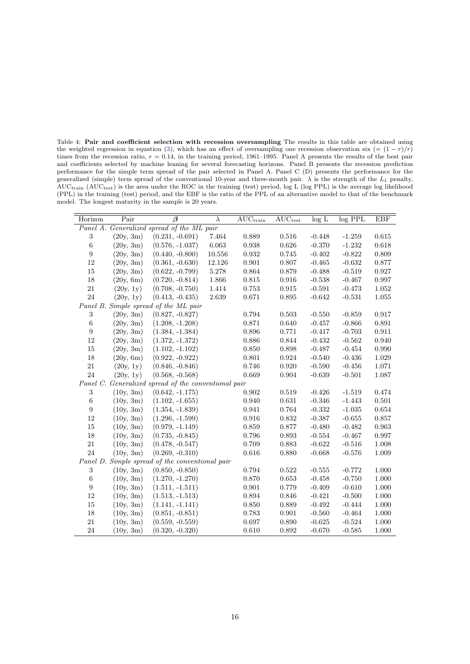<span id="page-15-0"></span>Table 4: Pair and coefficient selection with recession oversampling The results in this table are obtained using the weighted regression in equation [\(3\)](#page-11-0), which has an effect of oversampling one recession observation six (=  $(1 - r)/r$ ) times from the recession ratio,  $r = 0.14$ , in the training period, 1961–1995. Panel A presents the results of the best pair and coefficients selected by machine leaning for several forecasting horizons. Panel B presents the recession prediction performance for the simple term spread of the pair selected in Panel A. Panel C (D) presents the performance for the generalized (simple) term spread of the conventional 10-year and three-month pair.  $\lambda$  is the strength of the  $L_1$  penalty,  $AUC_{train}$  ( $AUC_{test}$ ) is the area under the ROC in the training (test) period, log L (log PPL) is the average log likelihood (PPL) in the training (test) period, and the EBF is the ratio of the PPL of an alternative model to that of the benchmark model. The longest maturity in the sample is 20 years.

| Horizon          | Pair      | $\overline{\beta}$                                   | $\lambda$  | $\overline{\mathrm{AUC}_\mathrm{train}}$ | $\overline{\text{AUC}_\text{test}}$ | log L    | log PPL  | <b>EBF</b>  |
|------------------|-----------|------------------------------------------------------|------------|------------------------------------------|-------------------------------------|----------|----------|-------------|
|                  |           | Panel A. Generalized spread of the ML pair           |            |                                          |                                     |          |          |             |
| $\sqrt{3}$       | (20y, 3m) | $(0.231, -0.691)$                                    | 7.464      | 0.889                                    | 0.516                               | $-0.448$ | $-1.259$ | 0.615       |
| $\,6\,$          | (20y, 3m) | $(0.576, -1.037)$                                    | 6.063      | 0.938                                    | 0.626                               | $-0.370$ | $-1.232$ | 0.618       |
| $\boldsymbol{9}$ | (20y, 3m) | $(0.440, -0.800)$                                    | $10.556\,$ | $\,0.932\,$                              | 0.745                               | $-0.402$ | $-0.822$ | 0.809       |
| 12               | (20y, 3m) | $(0.361, -0.630)$                                    | 12.126     | 0.901                                    | 0.807                               | $-0.465$ | $-0.632$ | 0.877       |
| $15\,$           | (20y, 3m) | $(0.622, -0.799)$                                    | 5.278      | 0.864                                    | 0.879                               | $-0.488$ | $-0.519$ | 0.927       |
| 18               | (20y, 6m) | $(0.720, -0.814)$                                    | 1.866      | 0.815                                    | 0.916                               | $-0.538$ | $-0.467$ | 0.997       |
| 21               | (20y, 1y) | $(0.708, -0.750)$                                    | 1.414      | 0.753                                    | 0.915                               | $-0.591$ | $-0.473$ | 1.052       |
| $24\,$           | (20y, 1y) | $(0.413, -0.435)$                                    | 2.639      | 0.671                                    | 0.895                               | $-0.642$ | $-0.531$ | 1.055       |
|                  |           | Panel B. Simple spread of the ML pair                |            |                                          |                                     |          |          |             |
| $\sqrt{3}$       | (20y, 3m) | $(0.827, -0.827)$                                    |            | 0.794                                    | $\,0.503\,$                         | $-0.550$ | $-0.859$ | 0.917       |
| $\,6\,$          | (20y, 3m) | $(1.208, -1.208)$                                    |            | 0.871                                    | 0.640                               | $-0.457$ | $-0.866$ | 0.891       |
| $\boldsymbol{9}$ | (20y, 3m) | $(1.384, -1.384)$                                    |            | 0.896                                    | 0.771                               | $-0.417$ | $-0.703$ | $\rm 0.911$ |
| $12\,$           | (20y, 3m) | $(1.372, -1.372)$                                    |            | 0.886                                    | 0.844                               | $-0.432$ | $-0.562$ | 0.940       |
| $15\,$           | (20y, 3m) | $(1.102, -1.102)$                                    |            | 0.850                                    | 0.898                               | $-0.487$ | $-0.454$ | 0.990       |
| 18               | (20y, 6m) | $(0.922, -0.922)$                                    |            | 0.801                                    | 0.924                               | $-0.540$ | $-0.436$ | 1.029       |
| 21               | (20y, 1y) | $(0.846, -0.846)$                                    |            | 0.746                                    | 0.920                               | $-0.590$ | $-0.456$ | 1.071       |
| 24               | (20y, 1y) | $(0.568, -0.568)$                                    |            | 0.669                                    | $\,0.904\,$                         | $-0.639$ | $-0.501$ | 1.087       |
|                  |           | Panel C. Generalized spread of the conventional pair |            |                                          |                                     |          |          |             |
| $\sqrt{3}$       | (10y, 3m) | $(0.642, -1.175)$                                    |            | $\rm 0.902$                              | $\,0.519\,$                         | $-0.426$ | $-1.519$ | $0.474\,$   |
| $\,6\,$          | (10y, 3m) | $(1.102, -1.655)$                                    |            | 0.940                                    | 0.631                               | $-0.346$ | $-1.443$ | 0.501       |
| $\boldsymbol{9}$ | (10y, 3m) | $(1.354, -1.839)$                                    |            | 0.941                                    | 0.764                               | $-0.332$ | $-1.035$ | 0.654       |
| 12               | (10y, 3m) | $(1.296, -1.599)$                                    |            | 0.916                                    | 0.832                               | $-0.387$ | $-0.655$ | 0.857       |
| 15               | (10y, 3m) | $(0.979, -1.149)$                                    |            | 0.859                                    | 0.877                               | $-0.480$ | $-0.482$ | 0.963       |
| 18               | (10y, 3m) | $(0.735, -0.845)$                                    |            | 0.796                                    | $\,0.893\,$                         | $-0.554$ | $-0.467$ | 0.997       |
| 21               | (10y, 3m) | $(0.478, -0.547)$                                    |            | 0.709                                    | 0.883                               | $-0.622$ | $-0.516$ | 1.008       |
| 24               | (10y, 3m) | $(0.269, -0.310)$                                    |            | $0.616\,$                                | 0.880                               | $-0.668$ | $-0.576$ | $1.009\,$   |
|                  |           | Panel D. Simple spread of the conventional pair      |            |                                          |                                     |          |          |             |
| $\sqrt{3}$       | (10y, 3m) | $(0.850, -0.850)$                                    |            | 0.794                                    | 0.522                               | $-0.555$ | $-0.772$ | 1.000       |
| $\,6$            | (10y, 3m) | $(1.270, -1.270)$                                    |            | 0.870                                    | 0.653                               | $-0.458$ | $-0.750$ | 1.000       |
| $\boldsymbol{9}$ | (10y, 3m) | $(1.511, -1.511)$                                    |            | 0.901                                    | 0.779                               | $-0.409$ | $-0.610$ | 1.000       |
| 12               | (10y, 3m) | $(1.513, -1.513)$                                    |            | 0.894                                    | 0.846                               | $-0.421$ | $-0.500$ | $1.000\,$   |
| 15               | (10y, 3m) | $(1.141, -1.141)$                                    |            | 0.850                                    | 0.889                               | $-0.492$ | $-0.444$ | 1.000       |
| 18               | (10y, 3m) | $(0.851, -0.851)$                                    |            | 0.783                                    | $\rm 0.901$                         | $-0.560$ | $-0.464$ | 1.000       |
| 21               | (10y, 3m) | $(0.559, -0.559)$                                    |            | 0.697                                    | 0.890                               | $-0.625$ | $-0.524$ | 1.000       |
| 24               | (10y, 3m) | $(0.320, -0.320)$                                    |            | 0.610                                    | 0.892                               | $-0.670$ | $-0.585$ | 1.000       |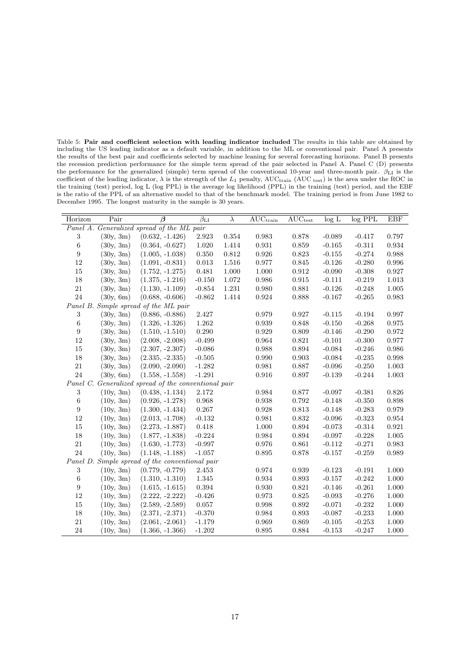<span id="page-16-0"></span>Table 5: Pair and coefficient selection with leading indicator included The results in this table are obtained by including the US leading indicator as a default variable, in addition to the ML or conventional pair. Panel A presents the results of the best pair and coefficients selected by machine leaning for several forecasting horizons. Panel B presents the recession prediction performance for the simple term spread of the pair selected in Panel A. Panel C (D) presents the performance for the generalized (simple) term spread of the conventional 10-year and three-month pair.  $\beta_{\text{LI}}$  is the coefficient of the leading indicator,  $\lambda$  is the strength of the  $L_1$  penalty, AUC<sub>train</sub> (AUC test) is the area under the ROC in the training (test) period, log L (log PPL) is the average log likelihood (PPL) in the training (test) period, and the EBF is the ratio of the PPL of an alternative model to that of the benchmark model. The training period is from June 1982 to December 1995. The longest maturity in the sample is 30 years.

| Horizon          | Pair      | $\overline{\beta}$                                   | $\overline{\beta_{\rm LI}}$ | $\lambda$ | $AUC_{train}$ | $\overline{\text{AUC}}_{\text{test}}$ | log L    | $log$ PPL | EBF         |
|------------------|-----------|------------------------------------------------------|-----------------------------|-----------|---------------|---------------------------------------|----------|-----------|-------------|
|                  |           | Panel A. Generalized spread of the ML pair           |                             |           |               |                                       |          |           |             |
| $\sqrt{3}$       | (30y, 3m) | $(0.632, -1.426)$                                    | 2.923                       | 0.354     | 0.983         | 0.878                                 | $-0.089$ | $-0.417$  | 0.797       |
| $\,6$            | (30y, 3m) | $(0.364, -0.627)$                                    | 1.020                       | 1.414     | 0.931         | 0.859                                 | $-0.165$ | $-0.311$  | $\,0.934\,$ |
| 9                | (30y, 3m) | $(1.005, -1.038)$                                    | 0.350                       | 0.812     | 0.926         | 0.823                                 | $-0.155$ | $-0.274$  | 0.988       |
| 12               | (30y, 3m) | $(1.091, -0.831)$                                    | 0.013                       | 1.516     | 0.977         | 0.845                                 | $-0.126$ | $-0.280$  | 0.996       |
| 15               | (30y, 3m) | $(1.752, -1.275)$                                    | 0.481                       | 1.000     | 1.000         | 0.912                                 | $-0.090$ | $-0.308$  | 0.927       |
| 18               | (30y, 3m) | $(1.375, -1.216)$                                    | $-0.150$                    | 1.072     | 0.986         | 0.915                                 | $-0.111$ | $-0.219$  | 1.013       |
| 21               | (30y, 3m) | $(1.130, -1.109)$                                    | $-0.854$                    | 1.231     | 0.980         | 0.881                                 | $-0.126$ | $-0.248$  | 1.005       |
| 24               | (30y, 6m) | $(0.688, -0.606)$                                    | $-0.862$                    | 1.414     | 0.924         | 0.888                                 | $-0.167$ | $-0.265$  | 0.983       |
|                  |           | Panel B. Simple spread of the ML pair                |                             |           |               |                                       |          |           |             |
| 3                | (30y, 3m) | $(0.886, -0.886)$                                    | 2.427                       |           | 0.979         | 0.927                                 | $-0.115$ | $-0.194$  | 0.997       |
| $\,6\,$          | (30y, 3m) | $(1.326, -1.326)$                                    | 1.262                       |           | 0.939         | 0.848                                 | $-0.150$ | $-0.268$  | 0.975       |
| $\boldsymbol{9}$ | (30y, 3m) | $(1.510, -1.510)$                                    | 0.290                       |           | 0.929         | 0.809                                 | $-0.146$ | $-0.290$  | 0.972       |
| 12               | (30y, 3m) | $(2.008, -2.008)$                                    | $-0.499$                    |           | $\,0.964\,$   | 0.821                                 | $-0.101$ | $-0.300$  | $0.977\,$   |
| 15               | (30y, 3m) | $(2.307, -2.307)$                                    | $-0.086$                    |           | 0.988         | 0.894                                 | $-0.084$ | $-0.246$  | 0.986       |
| 18               | (30v, 3m) | $(2.335, -2.335)$                                    | $-0.505$                    |           | 0.990         | 0.903                                 | $-0.084$ | $-0.235$  | 0.998       |
| 21               | (30y, 3m) | $(2.090, -2.090)$                                    | $-1.282$                    |           | 0.981         | 0.887                                 | $-0.096$ | $-0.250$  | 1.003       |
| 24               | (30y, 6m) | $(1.558, -1.558)$                                    | $-1.291$                    |           | $\,0.916\,$   | 0.897                                 | $-0.139$ | $-0.244$  | $1.003\,$   |
|                  |           | Panel C. Generalized spread of the conventional pair |                             |           |               |                                       |          |           |             |
| 3                | (10y, 3m) | $(0.438, -1.134)$                                    | $2.172\,$                   |           | 0.984         | 0.877                                 | $-0.097$ | $-0.381$  | 0.826       |
| $\,6\,$          | (10y, 3m) | $(0.926, -1.278)$                                    | 0.968                       |           | 0.938         | 0.792                                 | $-0.148$ | $-0.350$  | 0.898       |
| $\boldsymbol{9}$ | (10y, 3m) | $(1.300, -1.434)$                                    | 0.267                       |           | 0.928         | $\rm 0.813$                           | $-0.148$ | $-0.283$  | 0.979       |
| 12               | (10y, 3m) | $(2.013, -1.708)$                                    | $-0.132$                    |           | 0.981         | 0.832                                 | $-0.096$ | $-0.323$  | 0.954       |
| $15\,$           | (10y, 3m) | $(2.273, -1.887)$                                    | $0.418\,$                   |           | $1.000\,$     | 0.894                                 | $-0.073$ | $-0.314$  | 0.921       |
| 18               | (10y, 3m) | $(1.877, -1.838)$                                    | $-0.224$                    |           | 0.984         | 0.894                                 | $-0.097$ | $-0.228$  | 1.005       |
| $21\,$           | (10y, 3m) | $(1.630, -1.773)$                                    | $-0.997$                    |           | 0.976         | 0.861                                 | $-0.112$ | $-0.271$  | 0.983       |
| 24               | (10v, 3m) | $(1.148, -1.188)$                                    | $-1.057$                    |           | 0.895         | 0.878                                 | $-0.157$ | $-0.259$  | 0.989       |
|                  |           | Panel D. Simple spread of the conventional pair      |                             |           |               |                                       |          |           |             |
| 3                | (10y, 3m) | $(0.779, -0.779)$                                    | 2.453                       |           | 0.974         | 0.939                                 | $-0.123$ | $-0.191$  | 1.000       |
| $\,6\,$          | (10y, 3m) | $(1.310, -1.310)$                                    | 1.345                       |           | 0.934         | $\,0.893\,$                           | $-0.157$ | $-0.242$  | $1.000\,$   |
| 9                | (10y, 3m) | $(1.615, -1.615)$                                    | 0.394                       |           | 0.930         | 0.821                                 | $-0.146$ | $-0.261$  | 1.000       |
| 12               | (10y, 3m) | $(2.222, -2.222)$                                    | $-0.426$                    |           | 0.973         | 0.825                                 | $-0.093$ | $-0.276$  | $1.000\,$   |
| 15               | (10y, 3m) | $(2.589, -2.589)$                                    | 0.057                       |           | 0.998         | 0.892                                 | $-0.071$ | $-0.232$  | 1.000       |
| 18               | (10y, 3m) | $(2.371, -2.371)$                                    | $-0.370$                    |           | 0.984         | 0.893                                 | $-0.087$ | $-0.233$  | $1.000\,$   |
| 21               | (10y, 3m) | $(2.061, -2.061)$                                    | $-1.179$                    |           | 0.969         | 0.869                                 | $-0.105$ | $-0.253$  | 1.000       |
| 24               | (10y, 3m) | $(1.366, -1.366)$                                    | $-1.202$                    |           | 0.895         | 0.884                                 | $-0.153$ | $-0.247$  | 1.000       |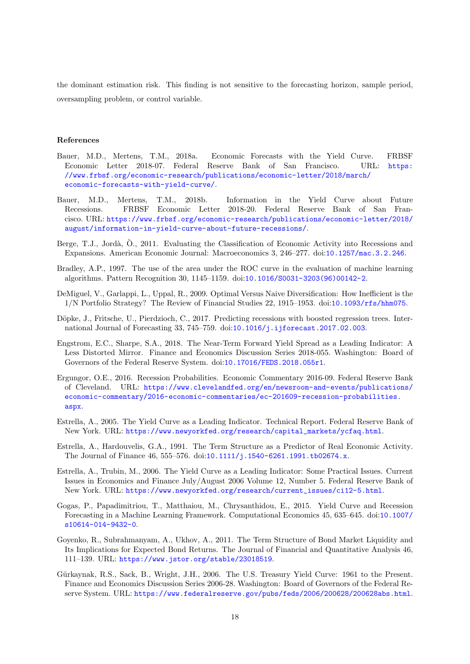the dominant estimation risk. This finding is not sensitive to the forecasting horizon, sample period, oversampling problem, or control variable.

# References

- <span id="page-17-7"></span>Bauer, M.D., Mertens, T.M., 2018a. Economic Forecasts with the Yield Curve. FRBSF Economic Letter 2018-07. Federal Reserve Bank of San Francisco. URL: [https:](https://www.frbsf.org/economic-research/publications/economic-letter/2018/march/economic-forecasts-with-yield-curve/) [//www.frbsf.org/economic-research/publications/economic-letter/2018/march/](https://www.frbsf.org/economic-research/publications/economic-letter/2018/march/economic-forecasts-with-yield-curve/) [economic-forecasts-with-yield-curve/](https://www.frbsf.org/economic-research/publications/economic-letter/2018/march/economic-forecasts-with-yield-curve/).
- <span id="page-17-8"></span>Bauer, M.D., Mertens, T.M., 2018b. Information in the Yield Curve about Future Recessions. FRBSF Economic Letter 2018-20. Federal Reserve Bank of San Francisco. URL: [https://www.frbsf.org/economic-research/publications/economic-letter/2018/](https://www.frbsf.org/economic-research/publications/economic-letter/2018/august/information-in-yield-curve-about-future-recessions/) [august/information-in-yield-curve-about-future-recessions/](https://www.frbsf.org/economic-research/publications/economic-letter/2018/august/information-in-yield-curve-about-future-recessions/).
- <span id="page-17-1"></span>Berge, T.J., Jordà, O., 2011. Evaluating the Classification of Economic Activity into Recessions and Expansions. American Economic Journal: Macroeconomics 3, 246–277. doi:[10.1257/mac.3.2.246](http://dx.doi.org/10.1257/mac.3.2.246).
- <span id="page-17-13"></span>Bradley, A.P., 1997. The use of the area under the ROC curve in the evaluation of machine learning algorithms. Pattern Recognition 30, 1145–1159. doi:[10.1016/S0031-3203\(96\)00142-2](http://dx.doi.org/10.1016/S0031-3203(96)00142-2).
- <span id="page-17-12"></span>DeMiguel, V., Garlappi, L., Uppal, R., 2009. Optimal Versus Naive Diversification: How Inefficient is the 1/N Portfolio Strategy? The Review of Financial Studies 22, 1915–1953. doi:[10.1093/rfs/hhm075](http://dx.doi.org/10.1093/rfs/hhm075).
- <span id="page-17-10"></span>Döpke, J., Fritsche, U., Pierdzioch, C., 2017. Predicting recessions with boosted regression trees. International Journal of Forecasting 33, 745–759. doi:[10.1016/j.ijforecast.2017.02.003](http://dx.doi.org/10.1016/j.ijforecast.2017.02.003).
- <span id="page-17-6"></span>Engstrom, E.C., Sharpe, S.A., 2018. The Near-Term Forward Yield Spread as a Leading Indicator: A Less Distorted Mirror. Finance and Economics Discussion Series 2018-055. Washington: Board of Governors of the Federal Reserve System. doi:[10.17016/FEDS.2018.055r1](http://dx.doi.org/10.17016/FEDS.2018.055r1).
- <span id="page-17-5"></span>Ergungor, O.E., 2016. Recession Probabilities. Economic Commentary 2016-09. Federal Reserve Bank of Cleveland. URL: [https://www.clevelandfed.org/en/newsroom-and-events/publications/](https://www.clevelandfed.org/en/newsroom-and-events/publications/economic-commentary/2016-economic-commentaries/ec-201609-recession-probabilities.aspx) [economic-commentary/2016-economic-commentaries/ec-201609-recession-probabilities.](https://www.clevelandfed.org/en/newsroom-and-events/publications/economic-commentary/2016-economic-commentaries/ec-201609-recession-probabilities.aspx) [aspx](https://www.clevelandfed.org/en/newsroom-and-events/publications/economic-commentary/2016-economic-commentaries/ec-201609-recession-probabilities.aspx).
- <span id="page-17-4"></span>Estrella, A., 2005. The Yield Curve as a Leading Indicator. Technical Report. Federal Reserve Bank of New York. URL: [https://www.newyorkfed.org/research/capital\\_markets/ycfaq.html](https://www.newyorkfed.org/research/capital_markets/ycfaq.html).
- <span id="page-17-3"></span>Estrella, A., Hardouvelis, G.A., 1991. The Term Structure as a Predictor of Real Economic Activity. The Journal of Finance 46, 555–576. doi:[10.1111/j.1540-6261.1991.tb02674.x](http://dx.doi.org/10.1111/j.1540-6261.1991.tb02674.x).
- <span id="page-17-0"></span>Estrella, A., Trubin, M., 2006. The Yield Curve as a Leading Indicator: Some Practical Issues. Current Issues in Economics and Finance July/August 2006 Volume 12, Number 5. Federal Reserve Bank of New York. URL: [https://www.newyorkfed.org/research/current\\_issues/ci12-5.html](https://www.newyorkfed.org/research/current_issues/ci12-5.html).
- <span id="page-17-9"></span>Gogas, P., Papadimitriou, T., Matthaiou, M., Chrysanthidou, E., 2015. Yield Curve and Recession Forecasting in a Machine Learning Framework. Computational Economics 45, 635–645. doi:[10.1007/](http://dx.doi.org/10.1007/s10614-014-9432-0) [s10614-014-9432-0](http://dx.doi.org/10.1007/s10614-014-9432-0).
- <span id="page-17-2"></span>Goyenko, R., Subrahmanyam, A., Ukhov, A., 2011. The Term Structure of Bond Market Liquidity and Its Implications for Expected Bond Returns. The Journal of Financial and Quantitative Analysis 46, 111–139. URL: <https://www.jstor.org/stable/23018519>.
- <span id="page-17-11"></span>Gürkaynak, R.S., Sack, B., Wright, J.H., 2006. The U.S. Treasury Yield Curve: 1961 to the Present. Finance and Economics Discussion Series 2006-28. Washington: Board of Governors of the Federal Reserve System. URL: <https://www.federalreserve.gov/pubs/feds/2006/200628/200628abs.html>.